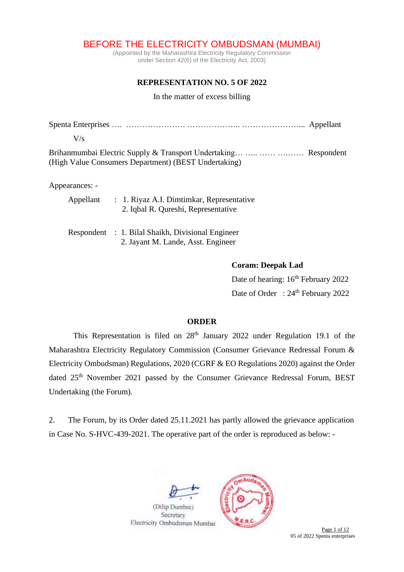BEFORE THE ELECTRICITY OMBUDSMAN (MUMBAI)

(Appointed by the Maharashtra Electricity Regulatory Commission under Section 42(6) of the Electricity Act, 2003)

## **REPRESENTATION NO. 5 OF 2022**

In the matter of excess billing

| V/s                                                                                                                       |  |
|---------------------------------------------------------------------------------------------------------------------------|--|
| Brihanmumbai Electric Supply & Transport Undertaking   Respondent<br>(High Value Consumers Department) (BEST Undertaking) |  |
| Appearances: -                                                                                                            |  |

| Appellant | : 1. Riyaz A.I. Dimtimkar, Representative |
|-----------|-------------------------------------------|
|           | 2. Iqbal R. Qureshi, Representative       |

| Respondent : 1. Bilal Shaikh, Divisional Engineer |
|---------------------------------------------------|
| 2. Jayant M. Lande, Asst. Engineer                |

## **Coram: Deepak Lad**

Date of hearing:  $16<sup>th</sup>$  February 2022 Date of Order : 24<sup>th</sup> February 2022

## **ORDER**

This Representation is filed on  $28<sup>th</sup>$  January 2022 under Regulation 19.1 of the Maharashtra Electricity Regulatory Commission (Consumer Grievance Redressal Forum & Electricity Ombudsman) Regulations, 2020 (CGRF & EO Regulations 2020) against the Order dated 25<sup>th</sup> November 2021 passed by the Consumer Grievance Redressal Forum, BEST Undertaking (the Forum).

2. The Forum, by its Order dated 25.11.2021 has partly allowed the grievance application in Case No. S-HVC-439-2021. The operative part of the order is reproduced as below: -



Electricity Ombudsman Mumbai



05 of 2022 Spenta enterprises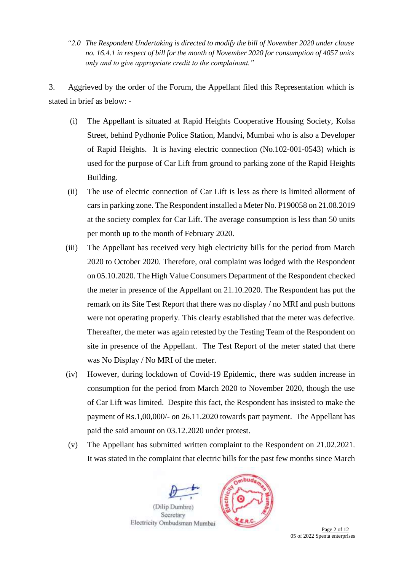*"2.0 The Respondent Undertaking is directed to modify the bill of November 2020 under clause no. 16.4.1 in respect of bill for the month of November 2020 for consumption of 4057 units only and to give appropriate credit to the complainant."*

3. Aggrieved by the order of the Forum, the Appellant filed this Representation which is stated in brief as below: -

- (i) The Appellant is situated at Rapid Heights Cooperative Housing Society, Kolsa Street, behind Pydhonie Police Station, Mandvi, Mumbai who is also a Developer of Rapid Heights. It is having electric connection (No.102-001-0543) which is used for the purpose of Car Lift from ground to parking zone of the Rapid Heights Building.
- (ii) The use of electric connection of Car Lift is less as there is limited allotment of carsin parking zone. The Respondent installed a Meter No. P190058 on 21.08.2019 at the society complex for Car Lift. The average consumption is less than 50 units per month up to the month of February 2020.
- (iii) The Appellant has received very high electricity bills for the period from March 2020 to October 2020. Therefore, oral complaint was lodged with the Respondent on 05.10.2020. The High Value Consumers Department of the Respondent checked the meter in presence of the Appellant on 21.10.2020. The Respondent has put the remark on its Site Test Report that there was no display / no MRI and push buttons were not operating properly*.* This clearly established that the meter was defective. Thereafter, the meter was again retested by the Testing Team of the Respondent on site in presence of the Appellant. The Test Report of the meter stated that there was No Display / No MRI of the meter.
- (iv) However, during lockdown of Covid-19 Epidemic, there was sudden increase in consumption for the period from March 2020 to November 2020, though the use of Car Lift was limited. Despite this fact, the Respondent has insisted to make the payment of Rs.1,00,000/- on 26.11.2020 towards part payment. The Appellant has paid the said amount on 03.12.2020 under protest.
- (v) The Appellant has submitted written complaint to the Respondent on 21.02.2021. It was stated in the complaint that electric bills for the past few months since March





Page 2 of 12 05 of 2022 Spenta enterprises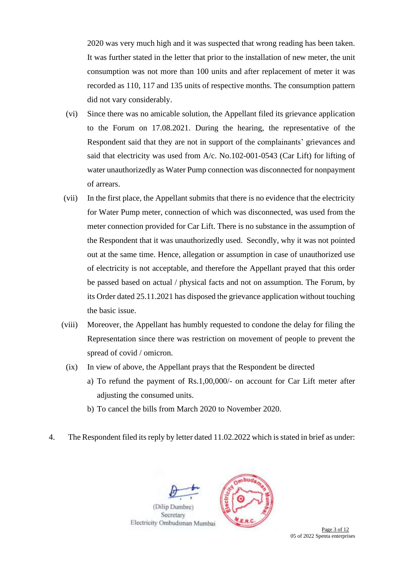2020 was very much high and it was suspected that wrong reading has been taken. It was further stated in the letter that prior to the installation of new meter, the unit consumption was not more than 100 units and after replacement of meter it was recorded as 110, 117 and 135 units of respective months. The consumption pattern did not vary considerably.

- (vi) Since there was no amicable solution, the Appellant filed its grievance application to the Forum on 17.08.2021. During the hearing, the representative of the Respondent said that they are not in support of the complainants' grievances and said that electricity was used from A/c. No.102-001-0543 (Car Lift) for lifting of water unauthorizedly as Water Pump connection was disconnected for nonpayment of arrears.
- (vii) In the first place, the Appellant submits that there is no evidence that the electricity for Water Pump meter, connection of which was disconnected, was used from the meter connection provided for Car Lift. There is no substance in the assumption of the Respondent that it was unauthorizedly used. Secondly, why it was not pointed out at the same time. Hence, allegation or assumption in case of unauthorized use of electricity is not acceptable, and therefore the Appellant prayed that this order be passed based on actual / physical facts and not on assumption. The Forum, by its Order dated 25.11.2021 has disposed the grievance application without touching the basic issue.
- (viii) Moreover, the Appellant has humbly requested to condone the delay for filing the Representation since there was restriction on movement of people to prevent the spread of covid / omicron.
- (ix) In view of above, the Appellant prays that the Respondent be directed
	- a) To refund the payment of Rs.1,00,000/- on account for Car Lift meter after adjusting the consumed units.
	- b) To cancel the bills from March 2020 to November 2020.
- 4. The Respondent filed its reply by letter dated 11.02.2022 which is stated in brief as under:





**Page 3 of 12** 05 of 2022 Spenta enterprises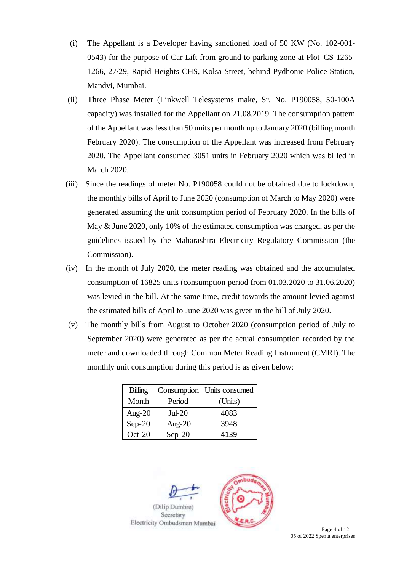- (i) The Appellant is a Developer having sanctioned load of 50 KW (No. 102-001- 0543) for the purpose of Car Lift from ground to parking zone at Plot–CS 1265- 1266, 27/29, Rapid Heights CHS, Kolsa Street, behind Pydhonie Police Station, Mandvi, Mumbai.
- (ii) Three Phase Meter (Linkwell Telesystems make, Sr. No. P190058, 50-100A capacity) was installed for the Appellant on 21.08.2019. The consumption pattern of the Appellant was less than 50 units per month up to January 2020 (billing month February 2020). The consumption of the Appellant was increased from February 2020. The Appellant consumed 3051 units in February 2020 which was billed in March 2020.
- (iii) Since the readings of meter No. P190058 could not be obtained due to lockdown, the monthly bills of April to June 2020 (consumption of March to May 2020) were generated assuming the unit consumption period of February 2020. In the bills of May & June 2020, only 10% of the estimated consumption was charged, as per the guidelines issued by the Maharashtra Electricity Regulatory Commission (the Commission).
- (iv) In the month of July 2020, the meter reading was obtained and the accumulated consumption of 16825 units (consumption period from 01.03.2020 to 31.06.2020) was levied in the bill. At the same time, credit towards the amount levied against the estimated bills of April to June 2020 was given in the bill of July 2020.
- (v) The monthly bills from August to October 2020 (consumption period of July to September 2020) were generated as per the actual consumption recorded by the meter and downloaded through Common Meter Reading Instrument (CMRI). The monthly unit consumption during this period is as given below:

| Billing   |           | Consumption   Units consumed |  |  |
|-----------|-----------|------------------------------|--|--|
| Month     | Period    | (Units)                      |  |  |
| Aug- $20$ | $Jul-20$  | 4083                         |  |  |
| $Sep-20$  | Aug- $20$ | 3948                         |  |  |
| $Oct-20$  | $Sep-20$  | 4139                         |  |  |



**Page 4 of 12** 05 of 2022 Spenta enterprises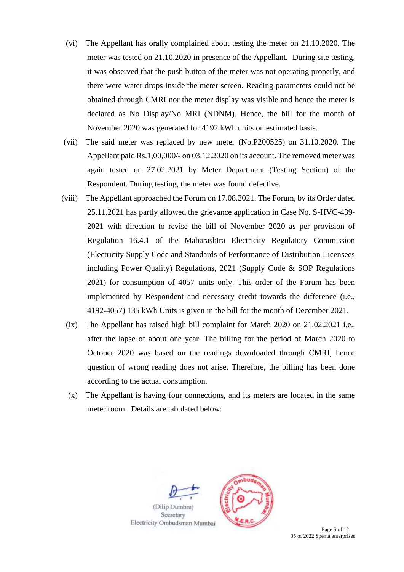- (vi) The Appellant has orally complained about testing the meter on 21.10.2020. The meter was tested on 21.10.2020 in presence of the Appellant. During site testing, it was observed that the push button of the meter was not operating properly, and there were water drops inside the meter screen. Reading parameters could not be obtained through CMRI nor the meter display was visible and hence the meter is declared as No Display/No MRI (NDNM). Hence, the bill for the month of November 2020 was generated for 4192 kWh units on estimated basis.
- (vii) The said meter was replaced by new meter (No.P200525) on 31.10.2020. The Appellant paid Rs.1,00,000/- on 03.12.2020 on its account. The removed meter was again tested on 27.02.2021 by Meter Department (Testing Section) of the Respondent. During testing, the meter was found defective.
- (viii) The Appellant approached the Forum on 17.08.2021. The Forum, by its Order dated 25.11.2021 has partly allowed the grievance application in Case No. S-HVC-439- 2021 with direction to revise the bill of November 2020 as per provision of Regulation 16.4.1 of the Maharashtra Electricity Regulatory Commission (Electricity Supply Code and Standards of Performance of Distribution Licensees including Power Quality) Regulations, 2021 (Supply Code & SOP Regulations 2021) for consumption of 4057 units only. This order of the Forum has been implemented by Respondent and necessary credit towards the difference (i.e., 4192-4057) 135 kWh Units is given in the bill for the month of December 2021.
	- (ix) The Appellant has raised high bill complaint for March 2020 on 21.02.2021 i.e., after the lapse of about one year. The billing for the period of March 2020 to October 2020 was based on the readings downloaded through CMRI, hence question of wrong reading does not arise. Therefore, the billing has been done according to the actual consumption.
	- (x) The Appellant is having four connections, and its meters are located in the same meter room. Details are tabulated below:





**Page 5 of 12** 05 of 2022 Spenta enterprises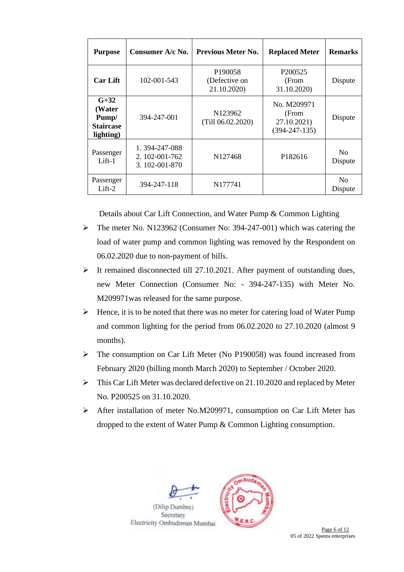| <b>Purpose</b>                                             | Consumer A/c No.                                 | <b>Previous Meter No.</b>                           | <b>Replaced Meter</b>                                      | <b>Remarks</b>            |
|------------------------------------------------------------|--------------------------------------------------|-----------------------------------------------------|------------------------------------------------------------|---------------------------|
| <b>Car Lift</b>                                            | 102-001-543                                      | P <sub>190058</sub><br>(Defective on<br>21.10.2020) | P <sub>200525</sub><br>(From<br>31.10.2020)                | Dispute                   |
| $G+32$<br>(Water<br>Pump/<br><b>Staircase</b><br>lighting) | 394-247-001                                      | N <sub>123962</sub><br>(Till 06.02.2020)            | No. M209971<br>(From<br>27.10.2021)<br>$(394 - 247 - 135)$ | Dispute                   |
| Passenger<br>$Lift-1$                                      | 1.394-247-088<br>2. 102-001-762<br>3.102-001-870 | N <sub>127468</sub>                                 | P182616                                                    | N <sub>0</sub><br>Dispute |
| Passenger<br>$Lift-2$                                      | 394-247-118                                      | N177741                                             |                                                            | N <sub>0</sub><br>Dispute |

Details about Car Lift Connection, and Water Pump & Common Lighting

- ➢ The meter No. N123962 (Consumer No: 394-247-001) which was catering the load of water pump and common lighting was removed by the Respondent on 06.02.2020 due to non-payment of bills.
- ➢ It remained disconnected till 27.10.2021. After payment of outstanding dues, new Meter Connection (Consumer No: - 394-247-135) with Meter No. M209971was released for the same purpose.
- $\triangleright$  Hence, it is to be noted that there was no meter for catering load of Water Pump and common lighting for the period from 06.02.2020 to 27.10.2020 (almost 9 months).
- ➢ The consumption on Car Lift Meter (No P190058) was found increased from February 2020 (billing month March 2020) to September / October 2020.
- ➢ This Car Lift Meter was declared defective on 21.10.2020 and replaced by Meter No. P200525 on 31.10.2020.
- ➢ After installation of meter No.M209971, consumption on Car Lift Meter has dropped to the extent of Water Pump & Common Lighting consumption.

buc



**Page 6 of 12** 05 of 2022 Spenta enterprises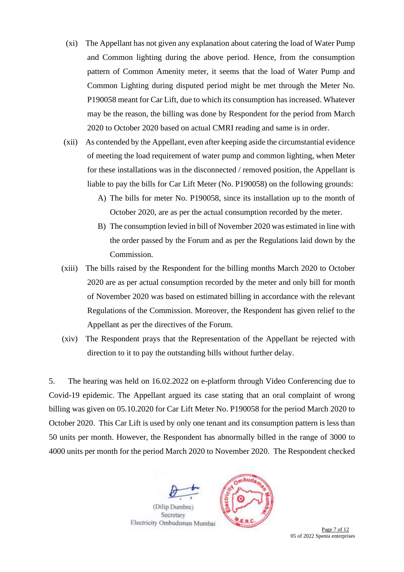- (xi) The Appellant has not given any explanation about catering the load of Water Pump and Common lighting during the above period. Hence, from the consumption pattern of Common Amenity meter, it seems that the load of Water Pump and Common Lighting during disputed period might be met through the Meter No. P190058 meant for Car Lift, due to which its consumption has increased. Whatever may be the reason, the billing was done by Respondent for the period from March 2020 to October 2020 based on actual CMRI reading and same is in order.
- (xii) As contended by the Appellant, even after keeping aside the circumstantial evidence of meeting the load requirement of water pump and common lighting, when Meter for these installations was in the disconnected / removed position, the Appellant is liable to pay the bills for Car Lift Meter (No. P190058) on the following grounds:
	- A) The bills for meter No. P190058, since its installation up to the month of October 2020, are as per the actual consumption recorded by the meter.
	- B) The consumption levied in bill of November 2020 was estimated in line with the order passed by the Forum and as per the Regulations laid down by the Commission.
- (xiii) The bills raised by the Respondent for the billing months March 2020 to October 2020 are as per actual consumption recorded by the meter and only bill for month of November 2020 was based on estimated billing in accordance with the relevant Regulations of the Commission. Moreover, the Respondent has given relief to the Appellant as per the directives of the Forum.
- (xiv) The Respondent prays that the Representation of the Appellant be rejected with direction to it to pay the outstanding bills without further delay.

5. The hearing was held on 16.02.2022 on e-platform through Video Conferencing due to Covid-19 epidemic. The Appellant argued its case stating that an oral complaint of wrong billing was given on 05.10.2020 for Car Lift Meter No. P190058 for the period March 2020 to October 2020. This Car Lift is used by only one tenant and its consumption pattern is less than 50 units per month. However, the Respondent has abnormally billed in the range of 3000 to 4000 units per month for the period March 2020 to November 2020. The Respondent checked



Secretary Electricity Ombudsman Mumbai



**Page 7 of 12** 05 of 2022 Spenta enterprises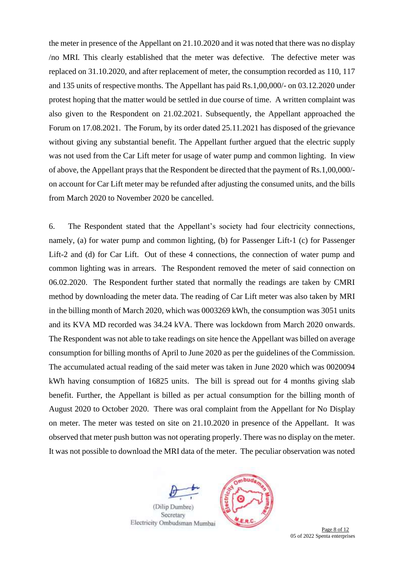the meter in presence of the Appellant on 21.10.2020 and it was noted that there was no display /no MRI*.* This clearly established that the meter was defective. The defective meter was replaced on 31.10.2020, and after replacement of meter, the consumption recorded as 110, 117 and 135 units of respective months. The Appellant has paid Rs.1,00,000/- on 03.12.2020 under protest hoping that the matter would be settled in due course of time. A written complaint was also given to the Respondent on 21.02.2021. Subsequently, the Appellant approached the Forum on 17.08.2021. The Forum, by its order dated 25.11.2021 has disposed of the grievance without giving any substantial benefit. The Appellant further argued that the electric supply was not used from the Car Lift meter for usage of water pump and common lighting. In view of above, the Appellant prays that the Respondent be directed that the payment of Rs.1,00,000/ on account for Car Lift meter may be refunded after adjusting the consumed units, and the bills from March 2020 to November 2020 be cancelled.

6. The Respondent stated that the Appellant's society had four electricity connections, namely, (a) for water pump and common lighting, (b) for Passenger Lift-1 (c) for Passenger Lift-2 and (d) for Car Lift. Out of these 4 connections, the connection of water pump and common lighting was in arrears. The Respondent removed the meter of said connection on 06.02.2020. The Respondent further stated that normally the readings are taken by CMRI method by downloading the meter data. The reading of Car Lift meter was also taken by MRI in the billing month of March 2020, which was 0003269 kWh, the consumption was 3051 units and its KVA MD recorded was 34.24 kVA. There was lockdown from March 2020 onwards. The Respondent was not able to take readings on site hence the Appellant was billed on average consumption for billing months of April to June 2020 as per the guidelines of the Commission. The accumulated actual reading of the said meter was taken in June 2020 which was 0020094 kWh having consumption of 16825 units. The bill is spread out for 4 months giving slab benefit. Further, the Appellant is billed as per actual consumption for the billing month of August 2020 to October 2020. There was oral complaint from the Appellant for No Display on meter. The meter was tested on site on 21.10.2020 in presence of the Appellant. It was observed that meter push button was not operating properly. There was no display on the meter. It was not possible to download the MRI data of the meter. The peculiar observation was noted





**Page 8 of 12** 05 of 2022 Spenta enterprises

Electricity Ombudsman Mumbai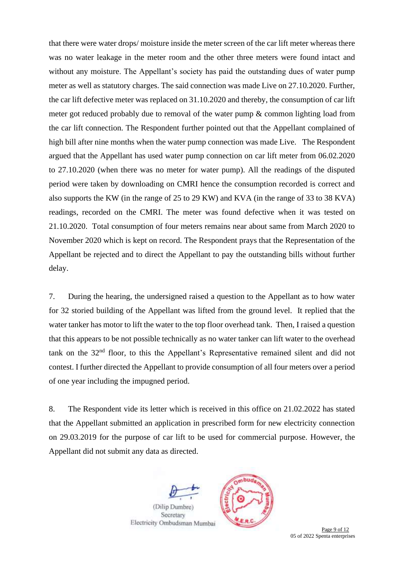that there were water drops/ moisture inside the meter screen of the car lift meter whereas there was no water leakage in the meter room and the other three meters were found intact and without any moisture. The Appellant's society has paid the outstanding dues of water pump meter as well as statutory charges. The said connection was made Live on 27.10.2020. Further, the car lift defective meter was replaced on 31.10.2020 and thereby, the consumption of car lift meter got reduced probably due to removal of the water pump & common lighting load from the car lift connection. The Respondent further pointed out that the Appellant complained of high bill after nine months when the water pump connection was made Live. The Respondent argued that the Appellant has used water pump connection on car lift meter from 06.02.2020 to 27.10.2020 (when there was no meter for water pump). All the readings of the disputed period were taken by downloading on CMRI hence the consumption recorded is correct and also supports the KW (in the range of 25 to 29 KW) and KVA (in the range of 33 to 38 KVA) readings, recorded on the CMRI. The meter was found defective when it was tested on 21.10.2020. Total consumption of four meters remains near about same from March 2020 to November 2020 which is kept on record. The Respondent prays that the Representation of the Appellant be rejected and to direct the Appellant to pay the outstanding bills without further delay.

7. During the hearing, the undersigned raised a question to the Appellant as to how water for 32 storied building of the Appellant was lifted from the ground level. It replied that the water tanker has motor to lift the water to the top floor overhead tank. Then, I raised a question that this appears to be not possible technically as no water tanker can lift water to the overhead tank on the 32nd floor, to this the Appellant's Representative remained silent and did not contest. I further directed the Appellant to provide consumption of all four meters over a period of one year including the impugned period.

8. The Respondent vide its letter which is received in this office on 21.02.2022 has stated that the Appellant submitted an application in prescribed form for new electricity connection on 29.03.2019 for the purpose of car lift to be used for commercial purpose. However, the Appellant did not submit any data as directed.



(Dilip Dumbre) Secretary Electricity Ombudsman Mumbai



Page 9 of 12 05 of 2022 Spenta enterprises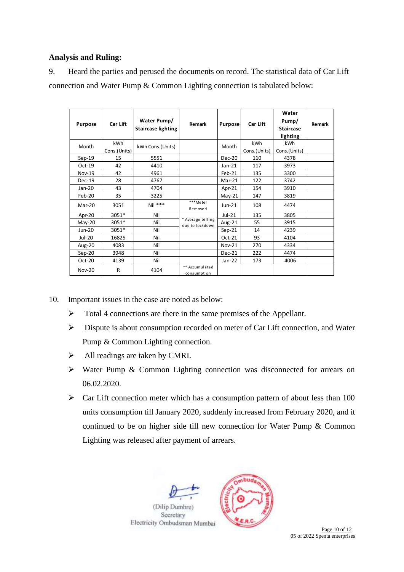## **Analysis and Ruling:**

9. Heard the parties and perused the documents on record. The statistical data of Car Lift connection and Water Pump & Common Lighting connection is tabulated below:

| <b>Purpose</b> | Car Lift            | Water Pump/<br>Staircase lighting | Remark                               | <b>Purpose</b> | Car Lift            | Water<br>Pump/<br><b>Staircase</b><br>lighting | Remark |
|----------------|---------------------|-----------------------------------|--------------------------------------|----------------|---------------------|------------------------------------------------|--------|
| Month          | kWh<br>Cons.(Units) | kWh Cons.(Units)                  |                                      | Month          | kWh<br>Cons.(Units) | <b>kWh</b><br>Cons.(Units)                     |        |
| $Sep-19$       | 15                  | 5551                              |                                      | Dec-20         | 110                 | 4378                                           |        |
| $Oct-19$       | 42                  | 4410                              |                                      | $Jan-21$       | 117                 | 3973                                           |        |
| <b>Nov-19</b>  | 42                  | 4961                              |                                      | Feb-21         | 135                 | 3300                                           |        |
| $Dec-19$       | 28                  | 4767                              |                                      | Mar-21         | 122                 | 3742                                           |        |
| $Jan-20$       | 43                  | 4704                              |                                      | Apr-21         | 154                 | 3910                                           |        |
| Feb-20         | 35                  | 3225                              |                                      | $May-21$       | 147                 | 3819                                           |        |
| Mar-20         | 3051                | $Nil$ ***                         | ***Meter<br>Removed                  | $Jun-21$       | 108                 | 4474                                           |        |
| Apr-20         | 3051*               | Nil                               |                                      | $Jul-21$       | 135                 | 3805                                           |        |
| $May-20$       | 3051*               | Nil                               | * Average billing<br>due to lockdown | Aug-21         | 55                  | 3915                                           |        |
| $Jun-20$       | 3051*               | Nil                               |                                      | $Sep-21$       | 14                  | 4239                                           |        |
| Jul-20         | 16825               | Nil                               |                                      | Oct-21         | 93                  | 4104                                           |        |
| Aug-20         | 4083                | Nil                               |                                      | <b>Nov-21</b>  | 270                 | 4334                                           |        |
| $Sep-20$       | 3948                | Nil                               |                                      | $Dec-21$       | 222                 | 4474                                           |        |
| Oct-20         | 4139                | Nil                               |                                      | $Jan-22$       | 173                 | 4006                                           |        |
| <b>Nov-20</b>  | R                   | 4104                              | ** Accumulated<br>consumption        |                |                     |                                                |        |

10. Important issues in the case are noted as below:

- ➢ Total 4 connections are there in the same premises of the Appellant.
- ➢ Dispute is about consumption recorded on meter of Car Lift connection, and Water Pump & Common Lighting connection.
- $\triangleright$  All readings are taken by CMRI.
- ➢ Water Pump & Common Lighting connection was disconnected for arrears on 06.02.2020.
- $\triangleright$  Car Lift connection meter which has a consumption pattern of about less than 100 units consumption till January 2020, suddenly increased from February 2020, and it continued to be on higher side till new connection for Water Pump & Common Lighting was released after payment of arrears.



05 of 2022 Spenta enterprises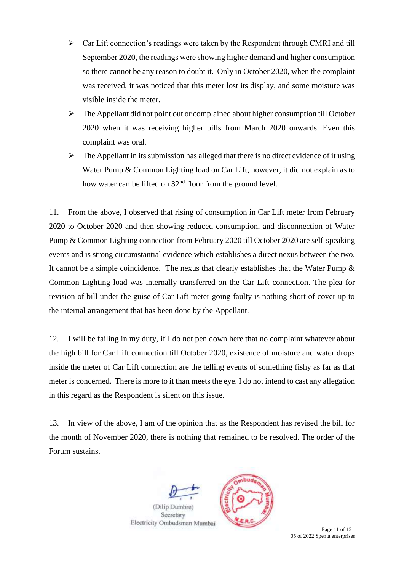- ➢ Car Lift connection's readings were taken by the Respondent through CMRI and till September 2020, the readings were showing higher demand and higher consumption so there cannot be any reason to doubt it. Only in October 2020, when the complaint was received, it was noticed that this meter lost its display, and some moisture was visible inside the meter.
- $\triangleright$  The Appellant did not point out or complained about higher consumption till October 2020 when it was receiving higher bills from March 2020 onwards. Even this complaint was oral.
- $\triangleright$  The Appellant in its submission has alleged that there is no direct evidence of it using Water Pump & Common Lighting load on Car Lift, however, it did not explain as to how water can be lifted on  $32<sup>nd</sup>$  floor from the ground level.

11. From the above, I observed that rising of consumption in Car Lift meter from February 2020 to October 2020 and then showing reduced consumption, and disconnection of Water Pump & Common Lighting connection from February 2020 till October 2020 are self-speaking events and is strong circumstantial evidence which establishes a direct nexus between the two. It cannot be a simple coincidence. The nexus that clearly establishes that the Water Pump  $\&$ Common Lighting load was internally transferred on the Car Lift connection. The plea for revision of bill under the guise of Car Lift meter going faulty is nothing short of cover up to the internal arrangement that has been done by the Appellant.

12. I will be failing in my duty, if I do not pen down here that no complaint whatever about the high bill for Car Lift connection till October 2020, existence of moisture and water drops inside the meter of Car Lift connection are the telling events of something fishy as far as that meter is concerned. There is more to it than meets the eye. I do not intend to cast any allegation in this regard as the Respondent is silent on this issue.

13. In view of the above, I am of the opinion that as the Respondent has revised the bill for the month of November 2020, there is nothing that remained to be resolved. The order of the Forum sustains.



Secretary Electricity Ombudsman Mumbai

Page 11 of 12 05 of 2022 Spenta enterprises